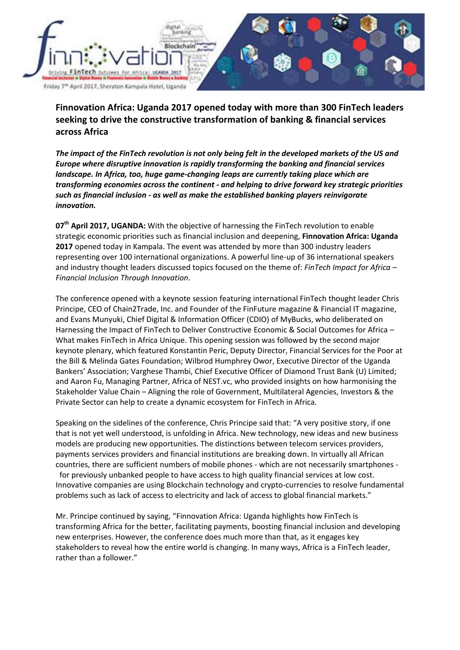

**Finnovation Africa: Uganda 2017 opened today with more than 300 FinTech leaders seeking to drive the constructive transformation of banking & financial services across Africa**

*The impact of the FinTech revolution is not only being felt in the developed markets of the US and Europe where disruptive innovation is rapidly transforming the banking and financial services landscape. In Africa, too, huge game-changing leaps are currently taking place which are transforming economies across the continent - and helping to drive forward key strategic priorities such as financial inclusion - as well as make the established banking players reinvigorate innovation.*

**07 th April 2017, UGANDA:** With the objective of harnessing the FinTech revolution to enable strategic economic priorities such as financial inclusion and deepening, **Finnovation Africa: Uganda 2017** opened today in Kampala. The event was attended by more than 300 industry leaders representing over 100 international organizations. A powerful line-up of 36 international speakers and industry thought leaders discussed topics focused on the theme of: *FinTech Impact for Africa – Financial Inclusion Through Innovation*.

The conference opened with a keynote session featuring international FinTech thought leader Chris Principe, CEO of Chain2Trade, Inc. and Founder of the FinFuture magazine & Financial IT magazine, and Evans Munyuki, Chief Digital & Information Officer (CDIO) of MyBucks, who deliberated on Harnessing the Impact of FinTech to Deliver Constructive Economic & Social Outcomes for Africa -What makes FinTech in Africa Unique. This opening session was followed by the second major keynote plenary, which featured Konstantin Peric, Deputy Director, Financial Services for the Poor at the Bill & Melinda Gates Foundation; Wilbrod Humphrey Owor, Executive Director of the Uganda Bankers' Association; Varghese Thambi, Chief Executive Officer of Diamond Trust Bank (U) Limited; and Aaron Fu, Managing Partner, Africa of NEST.vc, who provided insights on how harmonising the Stakeholder Value Chain – Aligning the role of Government, Multilateral Agencies, Investors & the Private Sector can help to create a dynamic ecosystem for FinTech in Africa.

Speaking on the sidelines of the conference, Chris Principe said that: "A very positive story, if one that is not yet well understood, is unfolding in Africa. New technology, new ideas and new business models are producing new opportunities. The distinctions between telecom services providers, payments services providers and financial institutions are breaking down. In virtually all African countries, there are sufficient numbers of mobile phones - which are not necessarily smartphones for previously unbanked people to have access to high quality financial services at low cost. Innovative companies are using Blockchain technology and crypto-currencies to resolve fundamental problems such as lack of access to electricity and lack of access to global financial markets."

Mr. Principe continued by saying, "Finnovation Africa: Uganda highlights how FinTech is transforming Africa for the better, facilitating payments, boosting financial inclusion and developing new enterprises. However, the conference does much more than that, as it engages key stakeholders to reveal how the entire world is changing. In many ways, Africa is a FinTech leader, rather than a follower."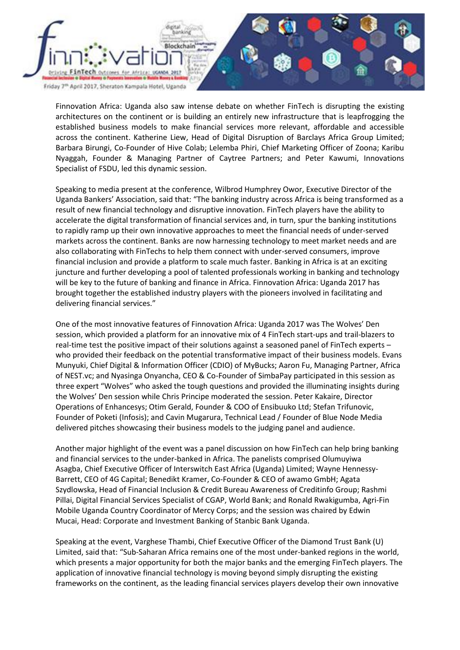

Finnovation Africa: Uganda also saw intense debate on whether FinTech is disrupting the existing architectures on the continent or is building an entirely new infrastructure that is leapfrogging the established business models to make financial services more relevant, affordable and accessible across the continent. Katherine Liew, Head of Digital Disruption of Barclays Africa Group Limited; Barbara Birungi, Co-Founder of Hive Colab; Lelemba Phiri, Chief Marketing Officer of Zoona; Karibu Nyaggah, Founder & Managing Partner of Caytree Partners; and Peter Kawumi, Innovations Specialist of FSDU, led this dynamic session.

Speaking to media present at the conference, Wilbrod Humphrey Owor, Executive Director of the Uganda Bankers' Association, said that: "The banking industry across Africa is being transformed as a result of new financial technology and disruptive innovation. FinTech players have the ability to accelerate the digital transformation of financial services and, in turn, spur the banking institutions to rapidly ramp up their own innovative approaches to meet the financial needs of under-served markets across the continent. Banks are now harnessing technology to meet market needs and are also collaborating with FinTechs to help them connect with under-served consumers, improve financial inclusion and provide a platform to scale much faster. Banking in Africa is at an exciting juncture and further developing a pool of talented professionals working in banking and technology will be key to the future of banking and finance in Africa. Finnovation Africa: Uganda 2017 has brought together the established industry players with the pioneers involved in facilitating and delivering financial services."

One of the most innovative features of Finnovation Africa: Uganda 2017 was The Wolves' Den session, which provided a platform for an innovative mix of 4 FinTech start-ups and trail-blazers to real-time test the positive impact of their solutions against a seasoned panel of FinTech experts – who provided their feedback on the potential transformative impact of their business models. Evans Munyuki, Chief Digital & Information Officer (CDIO) of MyBucks; Aaron Fu, Managing Partner, Africa of NEST.vc; and Nyasinga Onyancha, CEO & Co-Founder of SimbaPay participated in this session as three expert "Wolves" who asked the tough questions and provided the illuminating insights during the Wolves' Den session while Chris Principe moderated the session. Peter Kakaire, Director Operations of Enhancesys; Otim Gerald, Founder & COO of Ensibuuko Ltd; Stefan Trifunovic, Founder of Poketi (Infosis); and Cavin Mugarura, Technical Lead / Founder of Blue Node Media delivered pitches showcasing their business models to the judging panel and audience.

Another major highlight of the event was a panel discussion on how FinTech can help bring banking and financial services to the under-banked in Africa. The panelists comprised Olumuyiwa Asagba, Chief Executive Officer of Interswitch East Africa (Uganda) Limited; Wayne Hennessy-Barrett, CEO of 4G Capital; Benedikt Kramer, Co-Founder & CEO of awamo GmbH; Agata Szydlowska, Head of Financial Inclusion & Credit Bureau Awareness of Creditinfo Group; Rashmi Pillai, Digital Financial Services Specialist of CGAP, World Bank; and Ronald Rwakigumba, Agri-Fin Mobile Uganda Country Coordinator of Mercy Corps; and the session was chaired by Edwin Mucai, Head: Corporate and Investment Banking of Stanbic Bank Uganda.

Speaking at the event, Varghese Thambi, Chief Executive Officer of the Diamond Trust Bank (U) Limited, said that: "Sub-Saharan Africa remains one of the most under-banked regions in the world, which presents a major opportunity for both the major banks and the emerging FinTech players. The application of innovative financial technology is moving beyond simply disrupting the existing frameworks on the continent, as the leading financial services players develop their own innovative